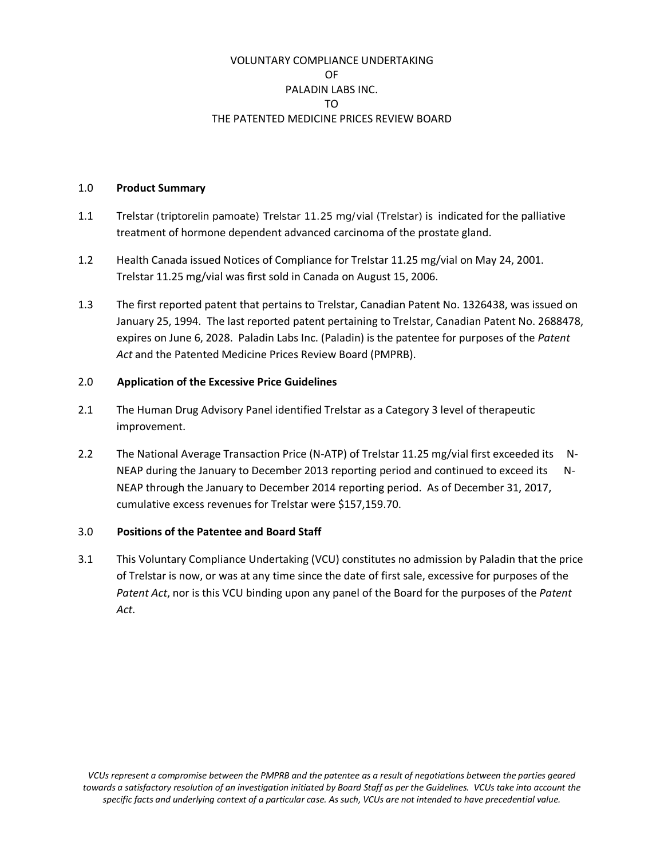# VOLUNTARY COMPLIANCE UNDERTAKING OF PALADIN LABS INC. TO THE PATENTED MEDICINE PRICES REVIEW BOARD

#### 1.0 **Product Summary**

- 1.1 Trelstar (triptorelin pamoate) Trelstar 11.25 mg/vial (Trelstar) is indicated for the palliative treatment of hormone dependent advanced carcinoma of the prostate gland.
- 1.2 Health Canada issued Notices of Compliance for Trelstar 11.25 mg/vial on May 24, 2001. Trelstar 11.25 mg/vial was first sold in Canada on August 15, 2006.
- 1.3 The first reported patent that pertains to Trelstar, Canadian Patent No. 1326438, was issued on January 25, 1994. The last reported patent pertaining to Trelstar, Canadian Patent No. 2688478, expires on June 6, 2028. Paladin Labs Inc. (Paladin) is the patentee for purposes of the *Patent Act* and the Patented Medicine Prices Review Board (PMPRB).

# 2.0 **Application of the Excessive Price Guidelines**

- 2.1 The Human Drug Advisory Panel identified Trelstar as a Category 3 level of therapeutic improvement.
- 2.2 The National Average Transaction Price (N-ATP) of Trelstar 11.25 mg/vial first exceeded its N-NEAP during the January to December 2013 reporting period and continued to exceed its N-NEAP through the January to December 2014 reporting period. As of December 31, 2017, cumulative excess revenues for Trelstar were \$157,159.70.

## 3.0 **Positions of the Patentee and Board Staff**

3.1 This Voluntary Compliance Undertaking (VCU) constitutes no admission by Paladin that the price of Trelstar is now, or was at any time since the date of first sale, excessive for purposes of the *Patent Act*, nor is this VCU binding upon any panel of the Board for the purposes of the *Patent Act*.